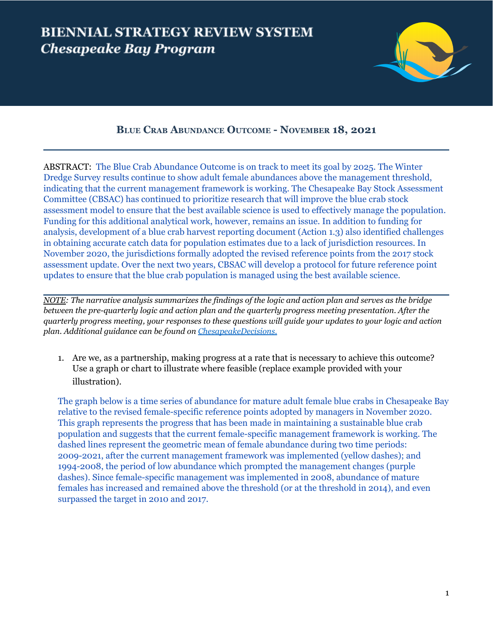## **BIENNIAL STRATEGY REVIEW SYSTEM Chesapeake Bay Program**



## **BLUE CRAB ABUNDANCE OUTCOME - NOVEMBER 18, 2021**

ABSTRACT: The Blue Crab Abundance Outcome is on track to meet its goal by 2025. The Winter Dredge Survey results continue to show adult female abundances above the management threshold, indicating that the current management framework is working. The Chesapeake Bay Stock Assessment Committee (CBSAC) has continued to prioritize research that will improve the blue crab stock assessment model to ensure that the best available science is used to effectively manage the population. Funding for this additional analytical work, however, remains an issue. In addition to funding for analysis, development of a blue crab harvest reporting document (Action 1.3) also identified challenges in obtaining accurate catch data for population estimates due to a lack of jurisdiction resources. In November 2020, the jurisdictions formally adopted the revised reference points from the 2017 stock assessment update. Over the next two years, CBSAC will develop a protocol for future reference point updates to ensure that the blue crab population is managed using the best available science.

NOTE: The narrative analysis summarizes the findings of the logic and action plan and serves as the bridge *between the pre-quarterly logic and action plan and the quarterly progress meeting presentation. After the* quarterly progress meeting, your responses to these questions will guide your updates to your logic and action *plan. Additional guidance can be found on [ChesapeakeDecisions.](http://www.chesapeakebay.net/decisions/srs-guide)*

1. Are we, as a partnership, making progress at a rate that is necessary to achieve this outcome? Use a graph or chart to illustrate where feasible (replace example provided with your illustration).

The graph below is a time series of abundance for mature adult female blue crabs in Chesapeake Bay relative to the revised female-specific reference points adopted by managers in November 2020. This graph represents the progress that has been made in maintaining a sustainable blue crab population and suggests that the current female-specific management framework is working. The dashed lines represent the geometric mean of female abundance during two time periods: 2009-2021, after the current management framework was implemented (yellow dashes); and 1994-2008, the period of low abundance which prompted the management changes (purple dashes). Since female-specific management was implemented in 2008, abundance of mature females has increased and remained above the threshold (or at the threshold in 2014), and even surpassed the target in 2010 and 2017.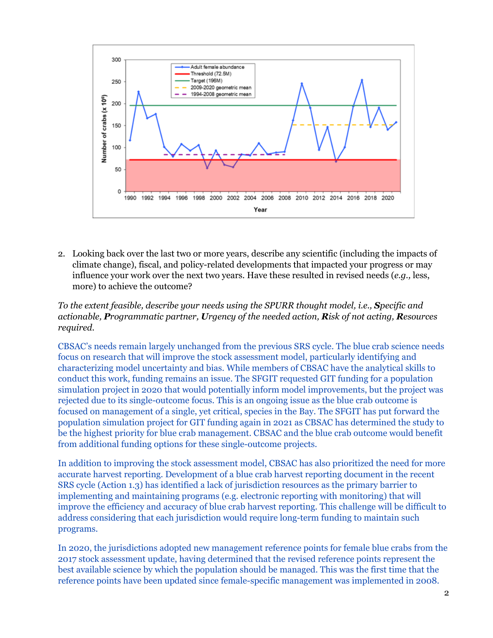

2. Looking back over the last two or more years, describe any scientific (including the impacts of climate change), fiscal, and policy-related developments that impacted your progress or may influence your work over the next two years. Have these resulted in revised needs (*e.g.,* less, more) to achieve the outcome?

*To the extent feasible, describe your needs using the SPURR thought model, i.e., Specific and actionable, Programmatic partner, Urgency of the needed action, Risk of not acting, Resources required.*

CBSAC's needs remain largely unchanged from the previous SRS cycle. The blue crab science needs focus on research that will improve the stock assessment model, particularly identifying and characterizing model uncertainty and bias. While members of CBSAC have the analytical skills to conduct this work, funding remains an issue. The SFGIT requested GIT funding for a population simulation project in 2020 that would potentially inform model improvements, but the project was rejected due to its single-outcome focus. This is an ongoing issue as the blue crab outcome is focused on management of a single, yet critical, species in the Bay. The SFGIT has put forward the population simulation project for GIT funding again in 2021 as CBSAC has determined the study to be the highest priority for blue crab management. CBSAC and the blue crab outcome would benefit from additional funding options for these single-outcome projects.

In addition to improving the stock assessment model, CBSAC has also prioritized the need for more accurate harvest reporting. Development of a blue crab harvest reporting document in the recent SRS cycle (Action 1.3) has identified a lack of jurisdiction resources as the primary barrier to implementing and maintaining programs (e.g. electronic reporting with monitoring) that will improve the efficiency and accuracy of blue crab harvest reporting. This challenge will be difficult to address considering that each jurisdiction would require long-term funding to maintain such programs.

In 2020, the jurisdictions adopted new management reference points for female blue crabs from the 2017 stock assessment update, having determined that the revised reference points represent the best available science by which the population should be managed. This was the first time that the reference points have been updated since female-specific management was implemented in 2008.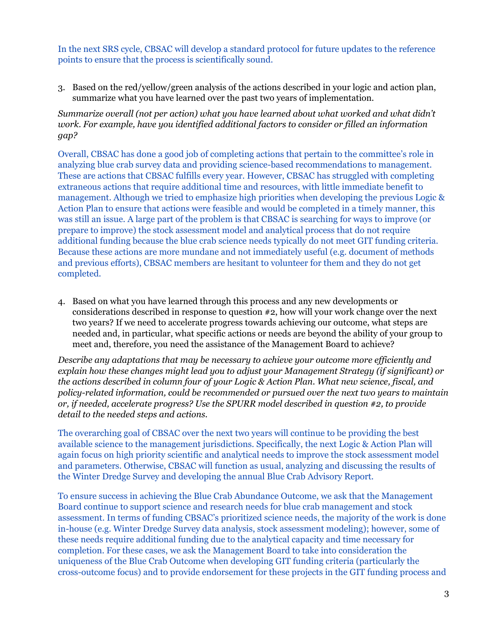In the next SRS cycle, CBSAC will develop a standard protocol for future updates to the reference points to ensure that the process is scientifically sound.

3. Based on the red/yellow/green analysis of the actions described in your logic and action plan, summarize what you have learned over the past two years of implementation.

*Summarize overall (not per action) what you have learned about what worked and what didn't work. For example, have you identified additional factors to consider or filled an information gap?*

Overall, CBSAC has done a good job of completing actions that pertain to the committee's role in analyzing blue crab survey data and providing science-based recommendations to management. These are actions that CBSAC fulfills every year. However, CBSAC has struggled with completing extraneous actions that require additional time and resources, with little immediate benefit to management. Although we tried to emphasize high priorities when developing the previous Logic & Action Plan to ensure that actions were feasible and would be completed in a timely manner, this was still an issue. A large part of the problem is that CBSAC is searching for ways to improve (or prepare to improve) the stock assessment model and analytical process that do not require additional funding because the blue crab science needs typically do not meet GIT funding criteria. Because these actions are more mundane and not immediately useful (e.g. document of methods and previous efforts), CBSAC members are hesitant to volunteer for them and they do not get completed.

4. Based on what you have learned through this process and any new developments or considerations described in response to question #2, how will your work change over the next two years? If we need to accelerate progress towards achieving our outcome, what steps are needed and, in particular, what specific actions or needs are beyond the ability of your group to meet and, therefore, you need the assistance of the Management Board to achieve?

*Describe any adaptations that may be necessary to achieve your outcome more ef iciently and explain how these changes might lead you to adjust your Management Strategy (if significant) or the actions described in column four of your Logic & Action Plan. What new science, fiscal, and policy-related information, could be recommended or pursued over the next two years to maintain or, if needed, accelerate progress? Use the SPURR model described in question #2, to provide detail to the needed steps and actions.*

The overarching goal of CBSAC over the next two years will continue to be providing the best available science to the management jurisdictions. Specifically, the next Logic & Action Plan will again focus on high priority scientific and analytical needs to improve the stock assessment model and parameters. Otherwise, CBSAC will function as usual, analyzing and discussing the results of the Winter Dredge Survey and developing the annual Blue Crab Advisory Report.

To ensure success in achieving the Blue Crab Abundance Outcome, we ask that the Management Board continue to support science and research needs for blue crab management and stock assessment. In terms of funding CBSAC's prioritized science needs, the majority of the work is done in-house (e.g. Winter Dredge Survey data analysis, stock assessment modeling); however, some of these needs require additional funding due to the analytical capacity and time necessary for completion. For these cases, we ask the Management Board to take into consideration the uniqueness of the Blue Crab Outcome when developing GIT funding criteria (particularly the cross-outcome focus) and to provide endorsement for these projects in the GIT funding process and